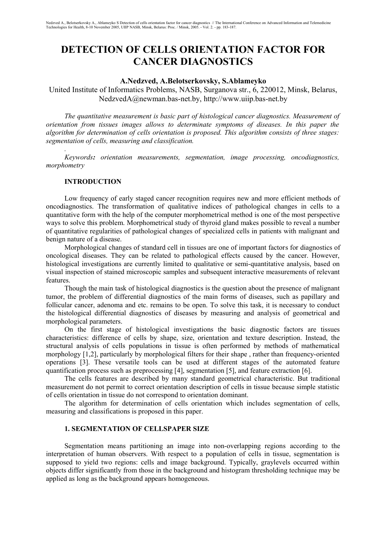# **DETECTION OF CELLS ORIENTATION FACTOR FOR CANCER DIAGNOSTICS**

## **A.Nedzved, A.Belotserkovsky, S.Ablameyko**

United Institute of Informatics Problems, NASB, Surganova str., 6, 220012, Minsk, Belarus, NedzvedA@newman.bas-net.by, http://www.uiip.bas-net.by

*The quantitative measurement is basic part of histological cancer diagnostics. Measurement of orientation from tissues images allows to determinate symptoms of diseases. In this paper the algorithm for determination of cells orientation is proposed. This algorithm consists of three stages: segmentation of cells, measuring and classification.*

*Keywords: orientation measurements, segmentation, image processing, oncodiagnostics, morphometry*

## **INTRODUCTION**

*.*

Low frequency of early staged cancer recognition requires new and more efficient methods of oncodiagnostics. The transformation of qualitative indices of pathological changes in cells to a quantitative form with the help of the computer morphometrical method is one of the most perspective ways to solve this problem. Morphometrical study of thyroid gland makes possible to reveal a number of quantitative regularities of pathological changes of specialized cells in patients with malignant and benign nature of a disease.

Morphological changes of standard cell in tissues are one of important factors for diagnostics of oncological diseases. They can be related to pathological effects caused by the cancer. However, histological investigations are currently limited to qualitative or semi-quantitative analysis, based on visual inspection of stained microscopic samples and subsequent interactive measurements of relevant features.

Though the main task of histological diagnostics is the question about the presence of malignant tumor, the problem of differential diagnostics of the main forms of diseases, such as papillary and follicular cancer, adenoma and etc. remains to be open. To solve this task, it is necessary to conduct the histological differential diagnostics of diseases by measuring and analysis of geometrical and morphological parameters.

On the first stage of histological investigations the basic diagnostic factors are tissues characteristics: difference of cells by shape, size, orientation and texture description. Instead, the structural analysis of cells populations in tissue is often performed by methods of mathematical morphology [1,2], particularly by morphological filters for their shape , rather than frequency-oriented operations [3]. These versatile tools can be used at different stages of the automated feature quantification process such as preprocessing [4], segmentation [5], and feature extraction [6].

The cells features are described by many standard geometrical characteristic. But traditional measurement do not permit to correct orientation description of cells in tissue because simple statistic of cells orientation in tissue do not correspond to orientation dominant.

The algorithm for determination of cells orientation which includes segmentation of cells, measuring and classifications is proposed in this paper.

#### **1. SEGMENTATION OF CELLSPAPER SIZE**

Segmentation means partitioning an image into non-overlapping regions according to the interpretation of human observers. With respect to a population of cells in tissue, segmentation is supposed to yield two regions: cells and image background. Typically, graylevels occurred within objects differ significantly from those in the background and histogram thresholding technique may be applied as long as the background appears homogeneous.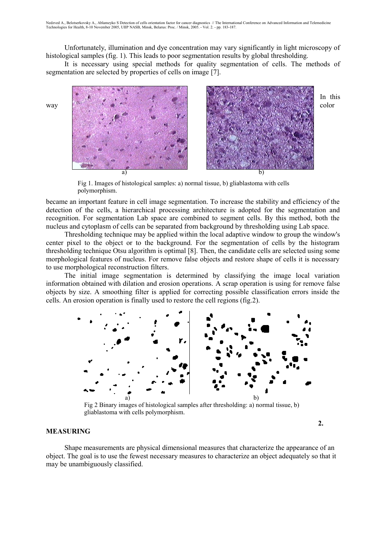Unfortunately, illumination and dye concentration may vary significantly in light microscopy of histological samples (fig. 1). This leads to poor segmentation results by global thresholding.

It is necessary using special methods for quality segmentation of cells. The methods of segmentation are selected by properties of cells on image [7].



Fig 1. Images of histological samples: a) normal tissue, b) gliablastoma with cells polymorphism.

became an important feature in cell image segmentation. To increase the stability and efficiency of the detection of the cells, a hierarchical processing architecture is adopted for the segmentation and recognition. For segmentation Lab space are combined to segment cells. By this method, both the nucleus and cytoplasm of cells can be separated from background by thresholding using Lab space.

Thresholding technique may be applied within the local adaptive window to group the window's center pixel to the object or to the background. For the segmentation of cells by the histogram thresholding technique Otsu algorithm is optimal [8]. Then, the candidate cells are selected using some morphological features of nucleus. For remove false objects and restore shape of cells it is necessary to use morphological reconstruction filters.

The initial image segmentation is determined by classifying the image local variation information obtained with dilation and erosion operations. A scrap operation is using for remove false objects by size. A smoothing filter is applied for correcting possible classification errors inside the cells. An erosion operation is finally used to restore the cell regions (fig.2).



Fig 2 Binary images of histological samples after thresholding: a) normal tissue, b) gliablastoma with cells polymorphism.

**2.**

#### **MEASURING**

Shape measurements are physical dimensional measures that characterize the appearance of an object. The goal is to use the fewest necessary measures to characterize an object adequately so that it may be unambiguously classified.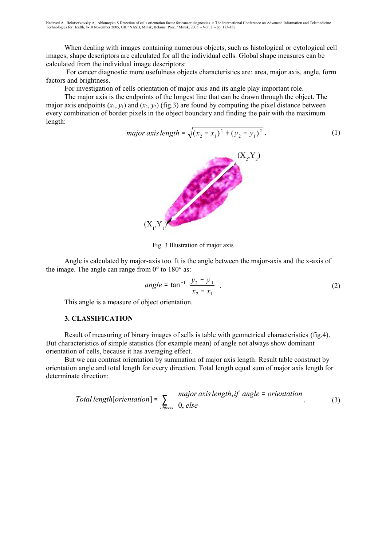When dealing with images containing numerous objects, such as histological or cytological cell images, shape descriptors are calculated for all the individual cells. Global shape measures can be calculated from the individual image descriptors:

 For cancer diagnostic more usefulness objects characteristics are: area, major axis, angle, form factors and brightness.

For investigation of cells orientation of major axis and its angle play important role.

The major axis is the endpoints of the longest line that can be drawn through the object. The major axis endpoints  $(x_1, y_1)$  and  $(x_2, y_2)$  (fig.3) are found by computing the pixel distance between every combination of border pixels in the object boundary and finding the pair with the maximum length:

$$
major axis length = \sqrt{(x_2 - x_1)^2 + (y_2 - y_1)^2}
$$
 (1)



Fig. 3 Illustration of major axis

Angle is calculated by major-axis too. It is the angle between the major-axis and the x-axis of the image. The angle can range from  $0^{\circ}$  to  $180^{\circ}$  as:

$$
angle = \tan^{-1} \left( \frac{y_2 - y_1}{x_2 - x_1} \right).
$$
 (2)

This angle is a measure of object orientation.

## **3. CLASSIFICATION**

Result of measuring of binary images of sells is table with geometrical characteristics (fig.4). But characteristics of simple statistics (for example mean) of angle not always show dominant orientation of cells, because it has averaging effect.

But we can contrast orientation by summation of major axis length. Result table construct by orientation angle and total length for every direction. Total length equal sum of major axis length for determinate direction:

Total length[orientation] = 
$$
\sum_{objects} \begin{cases} major axis length, if angle = orientation \\ 0, else \end{cases}
$$
 (3)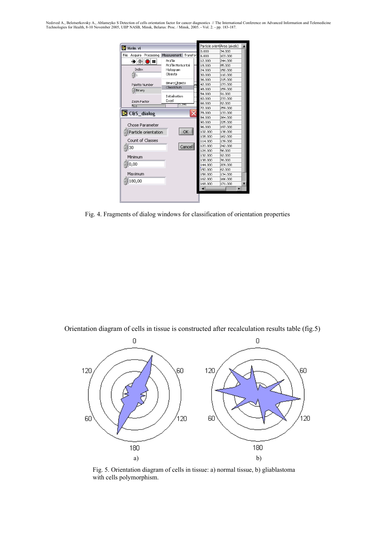Nedzved A., Belotserkovsky A., Ablameyko S Detection of cells orientation factor for cancer diagnostics // The International Conference on Advanced Information and Telemedicine<br>Technologies for Health, 8-10 November 2005,

|                               | Main.vi                 |          |       | Particle orient Area (pixels) |         |    |
|-------------------------------|-------------------------|----------|-------|-------------------------------|---------|----|
|                               |                         |          | 0.000 | 34.000                        |         |    |
| File<br>Acquire<br>Processing | Measurement             | Transfor |       | 6.000                         | 103.000 |    |
| ➡⊗<br>DШ                      | Profile                 |          |       | 12,000                        | 244.000 |    |
|                               | Profile Horisontal      |          |       | 18,000                        | 85,000  |    |
| Index                         | Histogram               |          |       | 24,000                        | 150.000 |    |
| 91                            | Objects                 |          |       | 30,000                        | 110,000 |    |
|                               |                         |          |       | 36,000                        | 215.000 |    |
| Palette Number                | BinaryObjects<br>Class∑ |          | łП    | 42,000                        | 173.000 |    |
| Binary                        |                         |          |       | 48,000                        | 159,000 |    |
|                               | Initialisation          |          |       | 54.000                        | 91.000  |    |
| Zoom Factor                   | Excel                   |          |       | 60.000                        | 233.000 |    |
| 当っ                            | ४.उप्रा                 |          |       | 66.000                        | 82,000  |    |
|                               |                         |          |       | 72,000                        | 259.000 |    |
| C&S_dialog                    |                         |          |       | 78,000                        | 133,000 |    |
|                               |                         |          |       | 84.000                        | 264.000 |    |
| Chose Parameter               |                         |          |       | 90,000                        | 225.000 |    |
|                               |                         |          |       | 96,000                        | 197.000 |    |
| Particle orientation          |                         | OK       |       | 102,000                       | 138,000 |    |
|                               |                         |          |       | 108,000                       | 162,000 |    |
| Count of Classes              |                         |          |       | 114.000                       | 139.000 |    |
| 30                            |                         | Cancell  |       | 120.000                       | 242.000 |    |
|                               |                         |          |       | 126,000                       | 56.000  |    |
| Minimum                       |                         |          |       | 132,000                       | 92.000  |    |
|                               |                         |          |       | 138,000                       | 76,000  |    |
| 0,00                          |                         |          |       | 144.000                       | 209.000 |    |
|                               |                         |          |       | 150,000                       | 62,000  |    |
| Maximum                       |                         |          |       | 156.000                       | 134.000 |    |
| 180,00                        |                         |          |       | 162,000                       | 166,000 |    |
|                               |                         |          |       | 168,000                       | 171.000 | v. |
|                               |                         |          |       | ٠                             | ь       |    |
|                               |                         |          |       |                               |         |    |
|                               |                         |          |       |                               |         |    |

Fig. 4. Fragments of dialog windows for classification of orientation properties

Orientation diagram of cells in tissue is constructed after recalculation results table (fig.5)



Fig. 5. Orientation diagram of cells in tissue: a) normal tissue, b) gliablastoma with cells polymorphism.